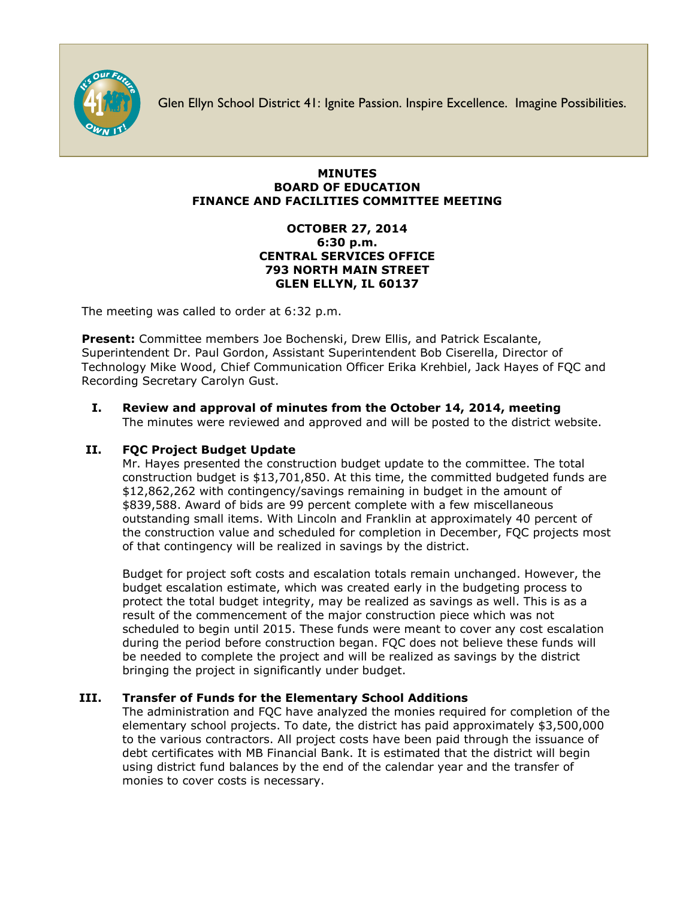

Glen Ellyn School District 41: Ignite Passion. Inspire Excellence. Imagine Possibilities.

#### **MINUTES BOARD OF EDUCATION FINANCE AND FACILITIES COMMITTEE MEETING**

#### **OCTOBER 27, 2014 6:30 p.m. CENTRAL SERVICES OFFICE 793 NORTH MAIN STREET GLEN ELLYN, IL 60137**

The meeting was called to order at 6:32 p.m.

**Present:** Committee members Joe Bochenski, Drew Ellis, and Patrick Escalante, Superintendent Dr. Paul Gordon, Assistant Superintendent Bob Ciserella, Director of Technology Mike Wood, Chief Communication Officer [Erika Krehbiel,](http://www.d41.org/contact_email.asp?id=ekrehbiel&n=Erika_Krehbiel) Jack Hayes of FQC and Recording Secretary Carolyn Gust.

# **I. Review and approval of minutes from the October 14, 2014, meeting**

The minutes were reviewed and approved and will be posted to the district website.

## **II. FQC Project Budget Update**

Mr. Hayes presented the construction budget update to the committee. The total construction budget is \$13,701,850. At this time, the committed budgeted funds are \$12,862,262 with contingency/savings remaining in budget in the amount of \$839,588. Award of bids are 99 percent complete with a few miscellaneous outstanding small items. With Lincoln and Franklin at approximately 40 percent of the construction value and scheduled for completion in December, FQC projects most of that contingency will be realized in savings by the district.

Budget for project soft costs and escalation totals remain unchanged. However, the budget escalation estimate, which was created early in the budgeting process to protect the total budget integrity, may be realized as savings as well. This is as a result of the commencement of the major construction piece which was not scheduled to begin until 2015. These funds were meant to cover any cost escalation during the period before construction began. FQC does not believe these funds will be needed to complete the project and will be realized as savings by the district bringing the project in significantly under budget.

## **III. Transfer of Funds for the Elementary School Additions**

The administration and FQC have analyzed the monies required for completion of the elementary school projects. To date, the district has paid approximately \$3,500,000 to the various contractors. All project costs have been paid through the issuance of debt certificates with MB Financial Bank. It is estimated that the district will begin using district fund balances by the end of the calendar year and the transfer of monies to cover costs is necessary.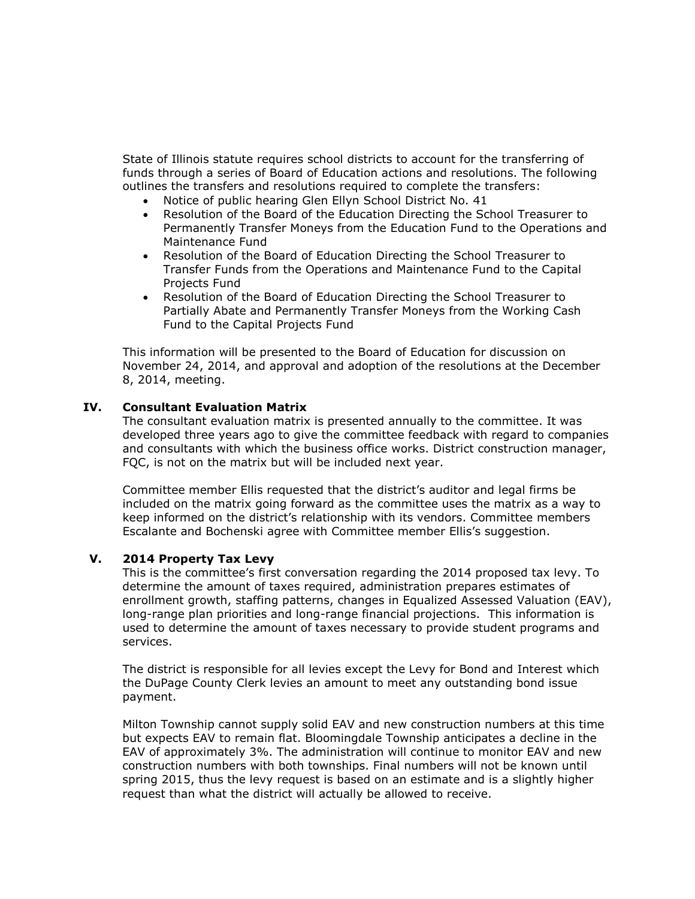State of Illinois statute requires school districts to account for the transferring of funds through a series of Board of Education actions and resolutions. The following outlines the transfers and resolutions required to complete the transfers:

- Notice of public hearing Glen Ellyn School District No. 41
- Resolution of the Board of the Education Directing the School Treasurer to Permanently Transfer Moneys from the Education Fund to the Operations and Maintenance Fund
- Resolution of the Board of Education Directing the School Treasurer to Transfer Funds from the Operations and Maintenance Fund to the Capital Projects Fund
- Resolution of the Board of Education Directing the School Treasurer to Partially Abate and Permanently Transfer Moneys from the Working Cash Fund to the Capital Projects Fund

This information will be presented to the Board of Education for discussion on November 24, 2014, and approval and adoption of the resolutions at the December 8, 2014, meeting.

#### **IV. Consultant Evaluation Matrix**

The consultant evaluation matrix is presented annually to the committee. It was developed three years ago to give the committee feedback with regard to companies and consultants with which the business office works. District construction manager, FQC, is not on the matrix but will be included next year.

Committee member Ellis requested that the district's auditor and legal firms be included on the matrix going forward as the committee uses the matrix as a way to keep informed on the district's relationship with its vendors. Committee members Escalante and Bochenski agree with Committee member Ellis's suggestion.

#### **V. 2014 Property Tax Levy**

This is the committee's first conversation regarding the 2014 proposed tax levy. To determine the amount of taxes required, administration prepares estimates of enrollment growth, staffing patterns, changes in Equalized Assessed Valuation (EAV), long-range plan priorities and long-range financial projections. This information is used to determine the amount of taxes necessary to provide student programs and services.

The district is responsible for all levies except the Levy for Bond and Interest which the DuPage County Clerk levies an amount to meet any outstanding bond issue payment.

Milton Township cannot supply solid EAV and new construction numbers at this time but expects EAV to remain flat. Bloomingdale Township anticipates a decline in the EAV of approximately 3%. The administration will continue to monitor EAV and new construction numbers with both townships. Final numbers will not be known until spring 2015, thus the levy request is based on an estimate and is a slightly higher request than what the district will actually be allowed to receive.